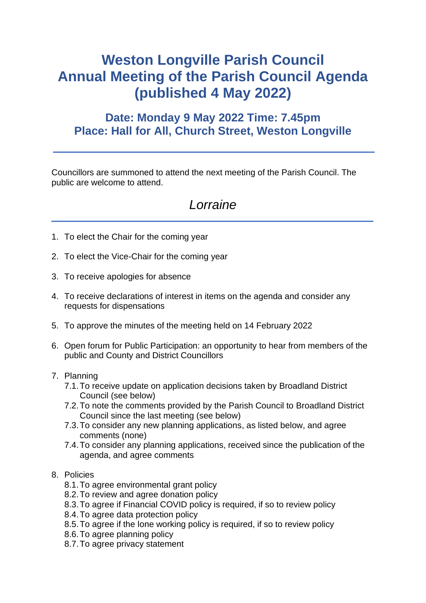# **Weston Longville Parish Council Annual Meeting of the Parish Council Agenda (published 4 May 2022)**

## **Date: Monday 9 May 2022 Time: 7.45pm Place: Hall for All, Church Street, Weston Longville**

Councillors are summoned to attend the next meeting of the Parish Council. The public are welcome to attend.

## *Lorraine*

- 1. To elect the Chair for the coming year
- 2. To elect the Vice-Chair for the coming year
- 3. To receive apologies for absence
- 4. To receive declarations of interest in items on the agenda and consider any requests for dispensations
- 5. To approve the minutes of the meeting held on 14 February 2022
- 6. Open forum for Public Participation: an opportunity to hear from members of the public and County and District Councillors
- 7. Planning
	- 7.1.To receive update on application decisions taken by Broadland District Council (see below)
	- 7.2.To note the comments provided by the Parish Council to Broadland District Council since the last meeting (see below)
	- 7.3.To consider any new planning applications, as listed below, and agree comments (none)
	- 7.4.To consider any planning applications, received since the publication of the agenda, and agree comments

## 8. Policies

- 8.1.To agree environmental grant policy
- 8.2.To review and agree donation policy
- 8.3.To agree if Financial COVID policy is required, if so to review policy
- 8.4.To agree data protection policy
- 8.5.To agree if the lone working policy is required, if so to review policy
- 8.6.To agree planning policy
- 8.7.To agree privacy statement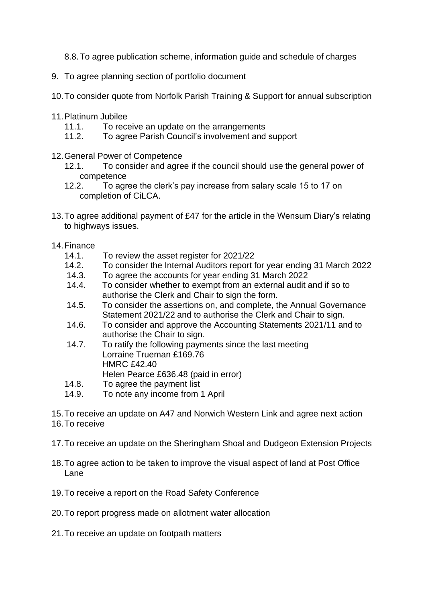- 8.8.To agree publication scheme, information guide and schedule of charges
- 9. To agree planning section of portfolio document
- 10.To consider quote from Norfolk Parish Training & Support for annual subscription
- 11.Platinum Jubilee
	- 11.1. To receive an update on the arrangements
	- 11.2. To agree Parish Council's involvement and support
- 12.General Power of Competence
	- 12.1. To consider and agree if the council should use the general power of competence
	- 12.2. To agree the clerk's pay increase from salary scale 15 to 17 on completion of CiLCA.
- 13.To agree additional payment of £47 for the article in the Wensum Diary's relating to highways issues.
- 14.Finance
	- 14.1. To review the asset register for 2021/22
	- 14.2. To consider the Internal Auditors report for year ending 31 March 2022
	- 14.3. To agree the accounts for year ending 31 March 2022
	- 14.4. To consider whether to exempt from an external audit and if so to authorise the Clerk and Chair to sign the form.
	- 14.5. To consider the assertions on, and complete, the Annual Governance Statement 2021/22 and to authorise the Clerk and Chair to sign.
	- 14.6. To consider and approve the Accounting Statements 2021/11 and to authorise the Chair to sign.
	- 14.7. To ratify the following payments since the last meeting Lorraine Trueman £169.76 HMRC £42.40 Helen Pearce £636.48 (paid in error)
	- 14.8. To agree the payment list
	- 14.9. To note any income from 1 April
- 15.To receive an update on A47 and Norwich Western Link and agree next action 16.To receive
- 17.To receive an update on the Sheringham Shoal and Dudgeon Extension Projects
- 18.To agree action to be taken to improve the visual aspect of land at Post Office Lane
- 19.To receive a report on the Road Safety Conference
- 20.To report progress made on allotment water allocation
- 21.To receive an update on footpath matters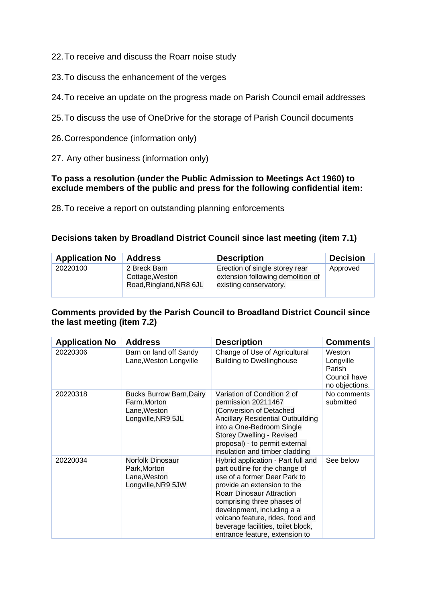22.To receive and discuss the Roarr noise study

- 23.To discuss the enhancement of the verges
- 24.To receive an update on the progress made on Parish Council email addresses
- 25.To discuss the use of OneDrive for the storage of Parish Council documents
- 26.Correspondence (information only)
- 27. Any other business (information only)

### **To pass a resolution (under the Public Admission to Meetings Act 1960) to exclude members of the public and press for the following confidential item:**

28.To receive a report on outstanding planning enforcements

## **Decisions taken by Broadland District Council since last meeting (item 7.1)**

| <b>Application No</b> | <b>Address</b>                                             | <b>Description</b>                                                                            | <b>Decision</b> |
|-----------------------|------------------------------------------------------------|-----------------------------------------------------------------------------------------------|-----------------|
| 20220100              | 2 Breck Barn<br>Cottage, Weston<br>Road, Ringland, NR8 6JL | Erection of single storey rear<br>extension following demolition of<br>existing conservatory. | Approved        |

## **Comments provided by the Parish Council to Broadland District Council since the last meeting (item 7.2)**

| <b>Application No</b> | <b>Address</b>                                                                        | <b>Description</b>                                                                                                                                                                                                                                                                                                                              | <b>Comments</b>                                                 |
|-----------------------|---------------------------------------------------------------------------------------|-------------------------------------------------------------------------------------------------------------------------------------------------------------------------------------------------------------------------------------------------------------------------------------------------------------------------------------------------|-----------------------------------------------------------------|
| 20220306              | Barn on land off Sandy<br>Lane, Weston Longville                                      | Change of Use of Agricultural<br><b>Building to Dwellinghouse</b>                                                                                                                                                                                                                                                                               | Weston<br>Longville<br>Parish<br>Council have<br>no objections. |
| 20220318              | <b>Bucks Burrow Barn, Dairy</b><br>Farm, Morton<br>Lane, Weston<br>Longville, NR9 5JL | Variation of Condition 2 of<br>permission 20211467<br>(Conversion of Detached<br><b>Ancillary Residential Outbuilding</b><br>into a One-Bedroom Single<br><b>Storey Dwelling - Revised</b><br>proposal) - to permit external<br>insulation and timber cladding                                                                                  | No comments<br>submitted                                        |
| 20220034              | Norfolk Dinosaur<br>Park, Morton<br>Lane, Weston<br>Longville, NR9 5JW                | Hybrid application - Part full and<br>part outline for the change of<br>use of a former Deer Park to<br>provide an extension to the<br><b>Roarr Dinosaur Attraction</b><br>comprising three phases of<br>development, including a a<br>volcano feature, rides, food and<br>beverage facilities, toilet block,<br>entrance feature, extension to | See below                                                       |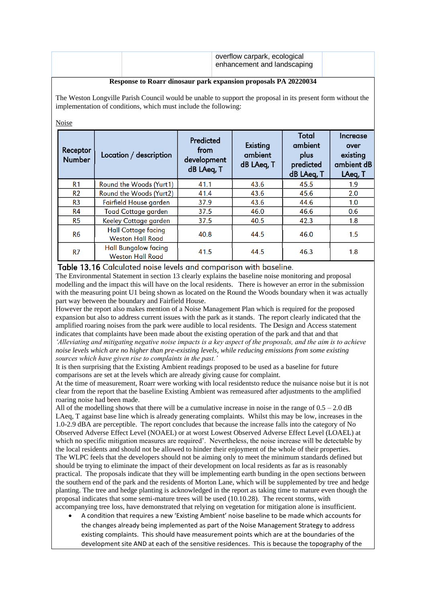|  | overflow carpark, ecological<br>enhancement and landscaping |  |  |
|--|-------------------------------------------------------------|--|--|
|  |                                                             |  |  |

#### **Response to Roarr dinosaur park expansion proposals PA 20220034**

The Weston Longville Parish Council would be unable to support the proposal in its present form without the implementation of conditions, which must include the following:

#### Noise

| Receptor<br><b>Number</b> | Location / description                                 | Predicted<br>from<br>development<br>dB LAeq, T | Existing<br>ambient<br>dB LAeq, T | <b>Total</b><br>ambient<br>plus<br>predicted<br>dB LAeq, T | Increase<br>over<br>existing<br>ambient dB<br>LAeq, T |
|---------------------------|--------------------------------------------------------|------------------------------------------------|-----------------------------------|------------------------------------------------------------|-------------------------------------------------------|
| R <sub>1</sub>            | Round the Woods (Yurt1)                                | 41.1                                           | 43.6                              | 45.5                                                       | 1.9                                                   |
| R <sub>2</sub>            | Round the Woods (Yurt2)                                | 41.4                                           | 43.6                              | 45.6                                                       | 2.0                                                   |
| R <sub>3</sub>            | Fairfield House garden                                 | 37.9                                           | 43.6                              | 44.6                                                       | 1.0                                                   |
| R <sub>4</sub>            | <b>Toad Cottage garden</b>                             | 37.5                                           | 46.0                              | 46.6                                                       | 0.6                                                   |
| R <sub>5</sub>            | Keeley Cottage garden                                  | 37.5                                           | 40.5                              | 42.3                                                       | 1.8                                                   |
| R <sub>6</sub>            | <b>Hall Cottage facing</b><br><b>Weston Hall Road</b>  | 40.8                                           | 44.5                              | 46.0                                                       | 1.5                                                   |
| R7                        | <b>Hall Bungalow facing</b><br><b>Weston Hall Road</b> | 41.5                                           | 44.5                              | 46.3                                                       | 1.8                                                   |

#### Table 13.16 Calculated noise levels and comparison with baseline.

The Environmental Statement in section 13 clearly explains the baseline noise monitoring and proposal modelling and the impact this will have on the local residents. There is however an error in the submission with the measuring point U1 being shown as located on the Round the Woods boundary when it was actually part way between the boundary and Fairfield House.

However the report also makes mention of a Noise Management Plan which is required for the proposed expansion but also to address current issues with the park as it stands. The report clearly indicated that the amplified roaring noises from the park were audible to local residents. The Design and Access statement indicates that complaints have been made about the existing operation of the park and that and that *'Alleviating and mitigating negative noise impacts is a key aspect of the proposals, and the aim is to achieve noise levels which are no higher than pre-existing levels, while reducing emissions from some existing sources which have given rise to complaints in the past.'*

It is then surprising that the Existing Ambient readings proposed to be used as a baseline for future comparisons are set at the levels which are already giving cause for complaint.

At the time of measurement, Roarr were working with local residentsto reduce the nuisance noise but it is not clear from the report that the baseline Existing Ambient was remeasured after adjustments to the amplified roaring noise had been made.

All of the modelling shows that there will be a cumulative increase in noise in the range of  $0.5 - 2.0$  dB LAeq, T against base line which is already generating complaints. Whilst this may be low, increases in the 1.0-2.9 dBA are perceptible. The report concludes that because the increase falls into the category of No Observed Adverse Effect Level (NOAEL) or at worst Lowest Observed Adverse Effect Level (LOAEL) at which no specific mitigation measures are required'. Nevertheless, the noise increase will be detectable by the local residents and should not be allowed to hinder their enjoyment of the whole of their properties. The WLPC feels that the developers should not be aiming only to meet the minimum standards defined but should be trying to eliminate the impact of their development on local residents as far as is reasonably practical. The proposals indicate that they will be implementing earth bunding in the open sections between the southern end of the park and the residents of Morton Lane, which will be supplemented by tree and hedge planting. The tree and hedge planting is acknowledged in the report as taking time to mature even though the proposal indicates that some semi-mature trees will be used (10.10.28). The recent storms, with accompanying tree loss, have demonstrated that relying on vegetation for mitigation alone is insufficient.

• A condition that requires a new 'Existing Ambient' noise baseline to be made which accounts for the changes already being implemented as part of the Noise Management Strategy to address existing complaints. This should have measurement points which are at the boundaries of the development site AND at each of the sensitive residences. This is because the topography of the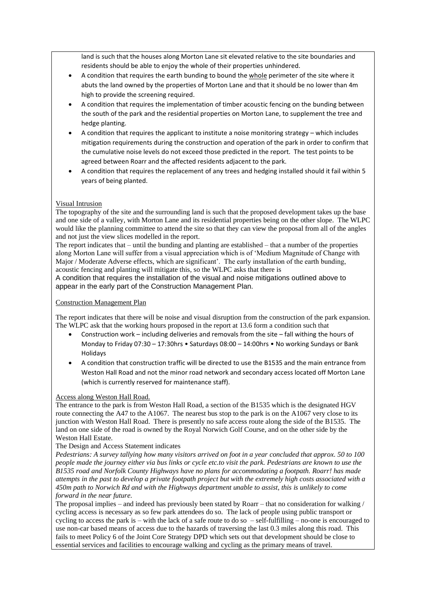land is such that the houses along Morton Lane sit elevated relative to the site boundaries and residents should be able to enjoy the whole of their properties unhindered.

- A condition that requires the earth bunding to bound the whole perimeter of the site where it abuts the land owned by the properties of Morton Lane and that it should be no lower than 4m high to provide the screening required.
- A condition that requires the implementation of timber acoustic fencing on the bunding between the south of the park and the residential properties on Morton Lane, to supplement the tree and hedge planting.
- A condition that requires the applicant to institute a noise monitoring strategy which includes mitigation requirements during the construction and operation of the park in order to confirm that the cumulative noise levels do not exceed those predicted in the report. The test points to be agreed between Roarr and the affected residents adjacent to the park.
- A condition that requires the replacement of any trees and hedging installed should it fail within 5 years of being planted.

#### Visual Intrusion

The topography of the site and the surrounding land is such that the proposed development takes up the base and one side of a valley, with Morton Lane and its residential properties being on the other slope. The WLPC would like the planning committee to attend the site so that they can view the proposal from all of the angles and not just the view slices modelled in the report.

The report indicates that – until the bunding and planting are established – that a number of the properties along Morton Lane will suffer from a visual appreciation which is of 'Medium Magnitude of Change with Major / Moderate Adverse effects, which are significant'. The early installation of the earth bunding, acoustic fencing and planting will mitigate this, so the WLPC asks that there is

A condition that requires the installation of the visual and noise mitigations outlined above to appear in the early part of the Construction Management Plan.

#### Construction Management Plan

The report indicates that there will be noise and visual disruption from the construction of the park expansion. The WLPC ask that the working hours proposed in the report at 13.6 form a condition such that

- Construction work including deliveries and removals from the site fall withing the hours of Monday to Friday 07:30 – 17:30hrs • Saturdays 08:00 – 14:00hrs • No working Sundays or Bank Holidays
- A condition that construction traffic will be directed to use the B1535 and the main entrance from Weston Hall Road and not the minor road network and secondary access located off Morton Lane (which is currently reserved for maintenance staff).

#### Access along Weston Hall Road.

The entrance to the park is from Weston Hall Road, a section of the B1535 which is the designated HGV route connecting the A47 to the A1067. The nearest bus stop to the park is on the A1067 very close to its junction with Weston Hall Road. There is presently no safe access route along the side of the B1535. The land on one side of the road is owned by the Royal Norwich Golf Course, and on the other side by the Weston Hall Estate.

#### The Design and Access Statement indicates

*Pedestrians: A survey tallying how many visitors arrived on foot in a year concluded that approx. 50 to 100 people made the journey either via bus links or cycle etc.to visit the park. Pedestrians are known to use the B1535 road and Norfolk County Highways have no plans for accommodating a footpath. Roarr! has made attempts in the past to develop a private footpath project but with the extremely high costs associated with a 450m path to Norwich Rd and with the Highways department unable to assist, this is unlikely to come forward in the near future.*

The proposal implies – and indeed has previously been stated by Roarr – that no consideration for walking / cycling access is necessary as so few park attendees do so. The lack of people using public transport or cycling to access the park is – with the lack of a safe route to do so – self-fulfilling – no-one is encouraged to use non-car based means of access due to the hazards of traversing the last 0.3 miles along this road. This fails to meet Policy 6 of the Joint Core Strategy DPD which sets out that development should be close to essential services and facilities to encourage walking and cycling as the primary means of travel.